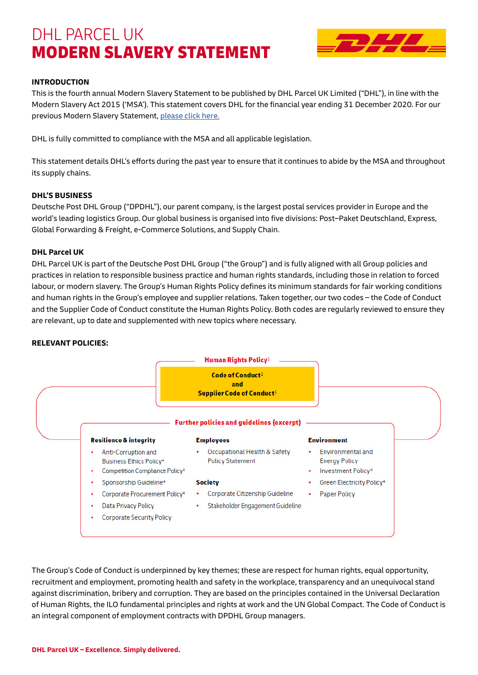# DHL PARCEL UK MODERN SLAVERY STATEMENT



## **INTRODUCTION**

This is the fourth annual Modern Slavery Statement to be published by DHL Parcel UK Limited ("DHL"), in line with the Modern Slavery Act 2015 ('MSA'). This statement covers DHL for the financial year ending 31 December 2020. For our previous Modern Slavery Statement, [please click here.](https://www.dhl.com/content/dam/dhl/local/gb/core/documents/pdf/gb-core-parcel-modern-slavery-statement-2021.pdf)

DHL is fully committed to compliance with the MSA and all applicable legislation.

This statement details DHL's efforts during the past year to ensure that it continues to abide by the MSA and throughout its supply chains.

## **DHL'S BUSINESS**

Deutsche Post DHL Group ("DPDHL"), our parent company, is the largest postal services provider in Europe and the world's leading logistics Group. Our global business is organised into five divisions: Post–Paket Deutschland, Express, Global Forwarding & Freight, e-Commerce Solutions, and Supply Chain.

#### **DHL Parcel UK**

DHL Parcel UK is part of the Deutsche Post DHL Group ("the Group") and is fully aligned with all Group policies and practices in relation to responsible business practice and human rights standards, including those in relation to forced labour, or modern slavery. The Group's Human Rights Policy defines its minimum standards for fair working conditions and human rights in the Group's employee and supplier relations. Taken together, our two codes – the Code of Conduct and the Supplier Code of Conduct constitute the Human Rights Policy. Both codes are regularly reviewed to ensure they are relevant, up to date and supplemented with new topics where necessary.

#### **RELEVANT POLICIES:**



The Group's Code of Conduct is underpinned by key themes; these are respect for human rights, equal opportunity, recruitment and employment, promoting health and safety in the workplace, transparency and an unequivocal stand against discrimination, bribery and corruption. They are based on the principles contained in the Universal Declaration of Human Rights, the ILO fundamental principles and rights at work and the UN Global Compact. The Code of Conduct is an integral component of employment contracts with DPDHL Group managers.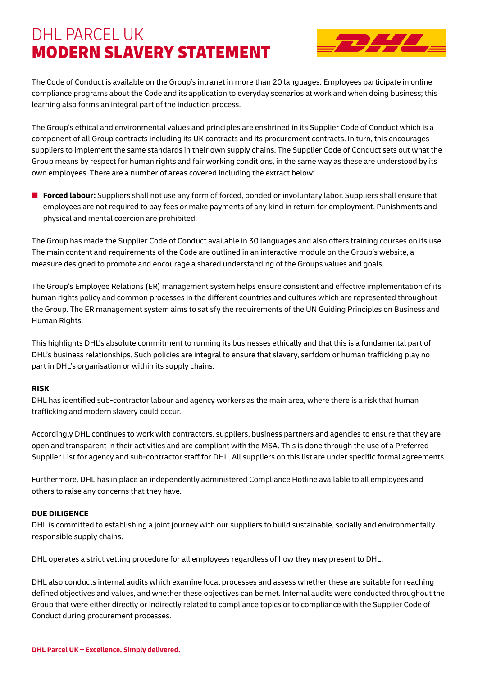# DHL PARCEL UK MODERN SLAVERY STATEMENT



The Code of Conduct is available on the Group's intranet in more than 20 languages. Employees participate in online compliance programs about the Code and its application to everyday scenarios at work and when doing business; this learning also forms an integral part of the induction process.

The Group's ethical and environmental values and principles are enshrined in its Supplier Code of Conduct which is a component of all Group contracts including its UK contracts and its procurement contracts. In turn, this encourages suppliers to implement the same standards in their own supply chains. The Supplier Code of Conduct sets out what the Group means by respect for human rights and fair working conditions, in the same way as these are understood by its own employees. There are a number of areas covered including the extract below:

■ **Forced labour:** Suppliers shall not use any form of forced, bonded or involuntary labor. Suppliers shall ensure that employees are not required to pay fees or make payments of any kind in return for employment. Punishments and physical and mental coercion are prohibited.

The Group has made the Supplier Code of Conduct available in 30 languages and also offers training courses on its use. The main content and requirements of the Code are outlined in an interactive module on the Group's website, a measure designed to promote and encourage a shared understanding of the Groups values and goals.

The Group's Employee Relations (ER) management system helps ensure consistent and effective implementation of its human rights policy and common processes in the different countries and cultures which are represented throughout the Group. The ER management system aims to satisfy the requirements of the UN Guiding Principles on Business and Human Rights.

This highlights DHL's absolute commitment to running its businesses ethically and that this is a fundamental part of DHL's business relationships. Such policies are integral to ensure that slavery, serfdom or human trafficking play no part in DHL's organisation or within its supply chains.

## **RISK**

DHL has identified sub-contractor labour and agency workers as the main area, where there is a risk that human trafficking and modern slavery could occur.

Accordingly DHL continues to work with contractors, suppliers, business partners and agencies to ensure that they are open and transparent in their activities and are compliant with the MSA. This is done through the use of a Preferred Supplier List for agency and sub-contractor staff for DHL. All suppliers on this list are under specific formal agreements.

Furthermore, DHL has in place an independently administered Compliance Hotline available to all employees and others to raise any concerns that they have.

## **DUE DILIGENCE**

DHL is committed to establishing a joint journey with our suppliers to build sustainable, socially and environmentally responsible supply chains.

DHL operates a strict vetting procedure for all employees regardless of how they may present to DHL.

DHL also conducts internal audits which examine local processes and assess whether these are suitable for reaching defined objectives and values, and whether these objectives can be met. Internal audits were conducted throughout the Group that were either directly or indirectly related to compliance topics or to compliance with the Supplier Code of Conduct during procurement processes.